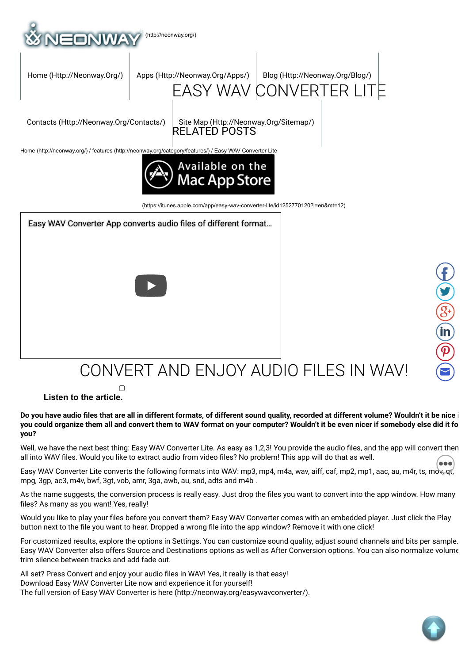

## CONVERT AND ENJOY AUDIO FILES IN WAV!

 **Listen to the article.**

 $\Box$ 

**Do you have audio les that are all in different formats, of different sound quality, recorded at different volume? Wouldn't it be nice i you could organize them all and convert them to WAV format on your computer? Wouldn't it be even nicer if somebody else did it fo you?**

Well, we have the next best thing: Easy WAV Converter Lite. As easy as 1,2,3! You provide the audio files, and the app will convert then all into WAV files. Would you like to extract audio from video files? No problem! This app will do that as well.

all into WAV files. Would you like to extract audio from video files? No problem! This app will do that as well<br>Easy WAV Converter Lite converts the following formats into WAV: mp3, mp4, m4a, wav, aiff, caf, mp2, mp1, aac, mpg, 3gp, ac3, m4v, bwf, 3gt, vob, amr, 3ga, awb, au, snd, adts and m4b .

As the name suggests, the conversion process is really easy. Just drop the files you want to convert into the app window. How many files? As many as you want! Yes, really!

Would you like to play your files before you convert them? Easy WAV Converter comes with an embedded player. Just click the Play button next to the file you want to hear. Dropped a wrong file into the app window? Remove it with one click!

For customized results, explore the options in Settings. You can customize sound quality, adjust sound channels and bits per sample. Easy WAV Converter also offers Source and Destinations options as well as After Conversion options. You can also normalize volume trim silence between tracks and add fade out.

All set? Press Convert and enjoy your audio files in WAV! Yes, it really is that easy! Download Easy WAV Converter Lite now and experience it for yourself! The full version of Easy WAV Converter is here (http://neonway.org/easywavconverter/).

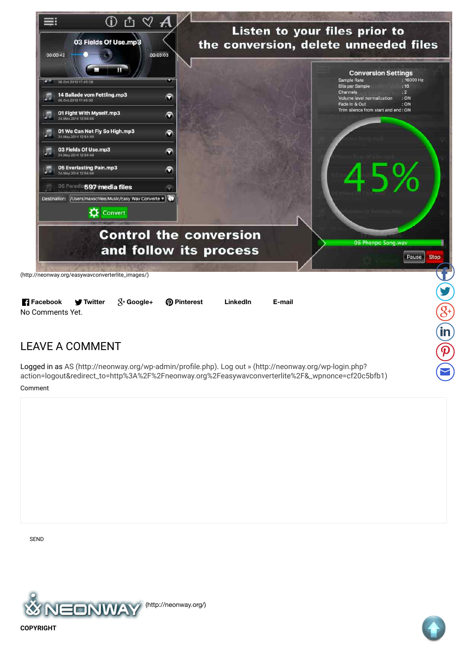

**R** Facebook **@** Pinterest LinkedIn E-mail  $\Psi$  Twitter  $X^+$  Google+ No Comments Yet.

## **LEAVE A COMMENT**

Logged in as AS (http://neonway.org/wp-admin/profile.php). Log out » (http://neonway.org/wp-login.php? action=logout&redirect\_to=http%3A%2F%2Fneonway.org%2Feasywavconverterlite%2F&\_wpnonce=cf20c5bfb1)

Comment